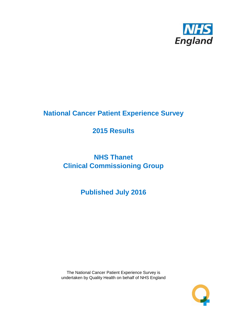

# **National Cancer Patient Experience Survey**

# **2015 Results**

# **NHS Thanet Clinical Commissioning Group**

# **Published July 2016**

The National Cancer Patient Experience Survey is undertaken by Quality Health on behalf of NHS England

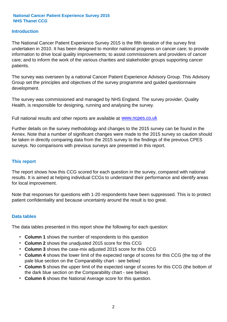#### **Introduction**

The National Cancer Patient Experience Survey 2015 is the fifth iteration of the survey first undertaken in 2010. It has been designed to monitor national progress on cancer care; to provide information to drive local quality improvements; to assist commissioners and providers of cancer care; and to inform the work of the various charities and stakeholder groups supporting cancer patients.

The survey was overseen by a national Cancer Patient Experience Advisory Group. This Advisory Group set the principles and objectives of the survey programme and guided questionnaire development.

The survey was commissioned and managed by NHS England. The survey provider, Quality Health, is responsible for designing, running and analysing the survey.

Full national results and other reports are available at www.ncpes.co.uk

Further details on the survey methodology and changes to the 2015 survey can be found in the Annex. Note that a number of significant changes were made to the 2015 survey so caution should be taken in directly comparing data from the 2015 survey to the findings of the previous CPES surveys. No comparisons with previous surveys are presented in this report.

#### **This report**

The report shows how this CCG scored for each question in the survey, compared with national results. It is aimed at helping individual CCGs to understand their performance and identify areas for local improvement.

Note that responses for questions with 1-20 respondents have been suppressed. This is to protect patient confidentiality and because uncertainty around the result is too great.

#### **Data tables**

The data tables presented in this report show the following for each question:

- **Column 1** shows the number of respondents to this question
- **Column 2** shows the unadjusted 2015 score for this CCG
- **Column 3** shows the case-mix adjusted 2015 score for this CCG
- **Column 4** shows the lower limit of the expected range of scores for this CCG (the top of the pale blue section on the Comparability chart - see below)
- **Column 5** shows the upper limit of the expected range of scores for this CCG (the bottom of the dark blue section on the Comparability chart - see below)
- **Column 6** shows the National Average score for this question.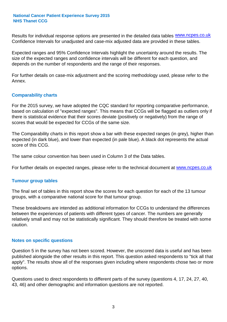Results for individual response options are presented in the detailed data tables **WWW.ncpes.co.uk** Confidence Intervals for unadjusted and case-mix adjusted data are provided in these tables.

Expected ranges and 95% Confidence Intervals highlight the uncertainty around the results. The size of the expected ranges and confidence intervals will be different for each question, and depends on the number of respondents and the range of their responses.

For further details on case-mix adjustment and the scoring methodology used, please refer to the Annex.

#### **Comparability charts**

For the 2015 survey, we have adopted the CQC standard for reporting comparative performance, based on calculation of "expected ranges". This means that CCGs will be flagged as outliers only if there is statistical evidence that their scores deviate (positively or negatively) from the range of scores that would be expected for CCGs of the same size.

The Comparability charts in this report show a bar with these expected ranges (in grey), higher than expected (in dark blue), and lower than expected (in pale blue). A black dot represents the actual score of this CCG.

The same colour convention has been used in Column 3 of the Data tables.

For further details on expected ranges, please refer to the technical document at **www.ncpes.co.uk** 

#### **Tumour group tables**

The final set of tables in this report show the scores for each question for each of the 13 tumour groups, with a comparative national score for that tumour group.

These breakdowns are intended as additional information for CCGs to understand the differences between the experiences of patients with different types of cancer. The numbers are generally relatively small and may not be statistically significant. They should therefore be treated with some caution.

#### **Notes on specific questions**

Question 5 in the survey has not been scored. However, the unscored data is useful and has been published alongside the other results in this report. This question asked respondents to "tick all that apply". The results show all of the responses given including where respondents chose two or more options.

Questions used to direct respondents to different parts of the survey (questions 4, 17, 24, 27, 40, 43, 46) and other demographic and information questions are not reported.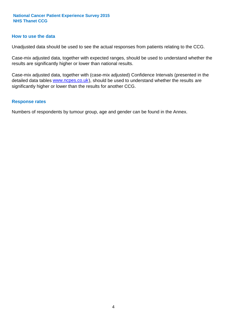#### **How to use the data**

Unadjusted data should be used to see the actual responses from patients relating to the CCG.

Case-mix adjusted data, together with expected ranges, should be used to understand whether the results are significantly higher or lower than national results.

Case-mix adjusted data, together with (case-mix adjusted) Confidence Intervals (presented in the detailed data tables **www.ncpes.co.uk**), should be used to understand whether the results are significantly higher or lower than the results for another CCG.

#### **Response rates**

Numbers of respondents by tumour group, age and gender can be found in the Annex.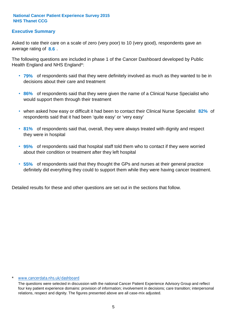#### **Executive Summary**

average rating of 8.6. Asked to rate their care on a scale of zero (very poor) to 10 (very good), respondents gave an

The following questions are included in phase 1 of the Cancer Dashboard developed by Public Health England and NHS England\*:

- **79%** of respondents said that they were definitely involved as much as they wanted to be in decisions about their care and treatment
- **86%** of respondents said that they were given the name of a Clinical Nurse Specialist who would support them through their treatment
- when asked how easy or difficult it had been to contact their Clinical Nurse Specialist 82% of respondents said that it had been 'quite easy' or 'very easy'
- **81%** of respondents said that, overall, they were always treated with dignity and respect they were in hospital
- **95%** of respondents said that hospital staff told them who to contact if they were worried about their condition or treatment after they left hospital
- **55%** of respondents said that they thought the GPs and nurses at their general practice definitely did everything they could to support them while they were having cancer treatment.

Detailed results for these and other questions are set out in the sections that follow.

#### \* www.cancerdata.nhs.uk/dashboard

The questions were selected in discussion with the national Cancer Patient Experience Advisory Group and reflect four key patient experience domains: provision of information; involvement in decisions; care transition; interpersonal relations, respect and dignity. The figures presented above are all case-mix adjusted.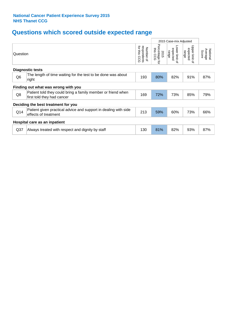# **Questions which scored outside expected range**

|                 |                                                                                            |                                             |                                     | 2015 Case-mix Adjusted              |                                       |                              |
|-----------------|--------------------------------------------------------------------------------------------|---------------------------------------------|-------------------------------------|-------------------------------------|---------------------------------------|------------------------------|
| Question        |                                                                                            | for this<br>respondents<br>Number of<br>600 | Percentage<br>this CCG<br>2015<br>ţ | Lower limit of<br>expected<br>range | Upper limit<br>expected<br>range<br>٩ | National<br>Average<br>Score |
|                 | <b>Diagnostic tests</b>                                                                    |                                             |                                     |                                     |                                       |                              |
| Q <sub>6</sub>  | The length of time waiting for the test to be done was about<br>right                      | 193                                         | 80%                                 | 82%                                 | 91%                                   | 87%                          |
|                 | Finding out what was wrong with you                                                        |                                             |                                     |                                     |                                       |                              |
| Q8              | Patient told they could bring a family member or friend when<br>first told they had cancer | 169                                         | 72%                                 | 73%                                 | 85%                                   | 79%                          |
|                 | Deciding the best treatment for you                                                        |                                             |                                     |                                     |                                       |                              |
| Q14             | Patient given practical advice and support in dealing with side<br>effects of treatment    | 213                                         | 59%                                 | 60%                                 | 73%                                   | 66%                          |
|                 | Hospital care as an inpatient                                                              |                                             |                                     |                                     |                                       |                              |
| Q <sub>37</sub> | Always treated with respect and dignity by staff                                           | 130                                         | 81%                                 | 82%                                 | 93%                                   | 87%                          |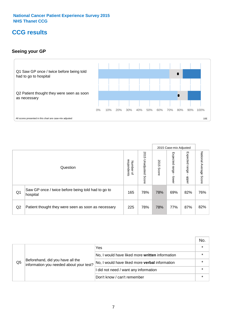### **CCG results**

#### **Seeing your GP**



|    |                                                                |                                         |                             |               | 2015 Case-mix Adjusted     |                            |                           |
|----|----------------------------------------------------------------|-----------------------------------------|-----------------------------|---------------|----------------------------|----------------------------|---------------------------|
|    | Question                                                       | respondents<br>Number<br>$\overline{a}$ | 2015<br>Unadjusted<br>Score | 2015<br>Score | Expected<br>range<br>lower | Expected<br>range<br>nbber | National Average<br>Score |
| Q1 | Saw GP once / twice before being told had to go to<br>hospital | 165                                     | 78%                         | 78%           | 69%                        | 82%                        | 76%                       |
| Q2 | Patient thought they were seen as soon as necessary            | 225                                     | 78%                         | 78%           | 77%                        | 87%                        | 82%                       |

|    |                                                                             |                                                 | No. |
|----|-----------------------------------------------------------------------------|-------------------------------------------------|-----|
|    | Beforehand, did you have all the<br>information you needed about your test? | Yes                                             |     |
| Q5 |                                                                             | No, I would have liked more written information |     |
|    |                                                                             | No, I would have liked more verbal information  |     |
|    |                                                                             | I did not need / want any information           |     |
|    |                                                                             | Don't know / can't remember                     |     |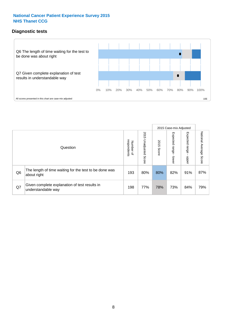#### **Diagnostic tests**



|                |                                                                       |                                       |                             |               | 2015 Case-mix Adjusted       |                         |                           |
|----------------|-----------------------------------------------------------------------|---------------------------------------|-----------------------------|---------------|------------------------------|-------------------------|---------------------------|
|                | Question                                                              | respondents<br>Number<br>$\mathbf{Q}$ | 2015<br>Unadjusted<br>Score | 2015<br>Score | Expected<br>I range<br>lower | Expected range<br>nbber | National Average<br>Score |
| Q <sub>6</sub> | The length of time waiting for the test to be done was<br>about right | 193                                   | 80%                         | 80%           | 82%                          | 91%                     | 87%                       |
| Q7             | Given complete explanation of test results in<br>understandable way   | 198                                   | 77%                         | 78%           | 73%                          | 84%                     | 79%                       |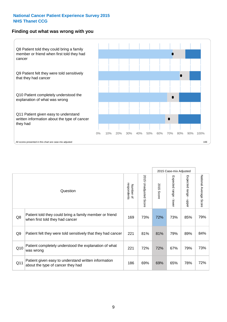#### **Finding out what was wrong with you**



|                |                                                                                            |                          |                          |               | 2015 Case-mix Adjusted                  |                                           |                        |
|----------------|--------------------------------------------------------------------------------------------|--------------------------|--------------------------|---------------|-----------------------------------------|-------------------------------------------|------------------------|
|                | Question                                                                                   | respondents<br>Number of | 2015<br>Unadjusted Score | 2015<br>Score | Expected range<br>$\mathbf{r}$<br>lower | Expected range<br>$\blacksquare$<br>nbber | National Average Score |
| Q8             | Patient told they could bring a family member or friend<br>when first told they had cancer | 169                      | 73%                      | 72%           | 73%                                     | 85%                                       | 79%                    |
| Q <sub>9</sub> | Patient felt they were told sensitively that they had cancer                               | 221                      | 81%                      | 81%           | 79%                                     | 89%                                       | 84%                    |
| Q10            | Patient completely understood the explanation of what<br>was wrong                         | 221                      | 72%                      | 72%           | 67%                                     | 79%                                       | 73%                    |
| Q11            | Patient given easy to understand written information<br>about the type of cancer they had  | 186                      | 69%                      | 69%           | 65%                                     | 78%                                       | 72%                    |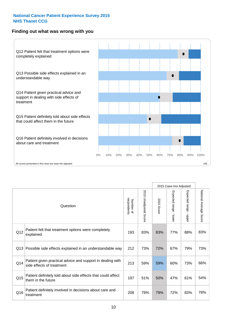#### **Finding out what was wrong with you**



|          |                                                                                         |                          |                                 |               | 2015 Case-mix Adjusted                    |                        |                        |
|----------|-----------------------------------------------------------------------------------------|--------------------------|---------------------------------|---------------|-------------------------------------------|------------------------|------------------------|
| Question |                                                                                         | Number of<br>respondents | 2015<br><b>Unadjusted Score</b> | 2015<br>Score | Expected range<br>$\blacksquare$<br>lower | Expected range - upper | National Average Score |
| Q12      | Patient felt that treatment options were completely<br>explained                        | 193                      | 83%                             | 83%           | 77%                                       | 88%                    | 83%                    |
| Q13      | Possible side effects explained in an understandable way                                | 212                      | 73%                             | 72%           | 67%                                       | 79%                    | 73%                    |
| Q14      | Patient given practical advice and support in dealing with<br>side effects of treatment | 213                      | 59%                             | 59%           | 60%                                       | 73%                    | 66%                    |
| Q15      | Patient definitely told about side effects that could affect<br>them in the future      | 197                      | 51%                             | 50%           | 47%                                       | 61%                    | 54%                    |
| Q16      | Patient definitely involved in decisions about care and<br>treatment                    | 208                      | 79%                             | 79%           | 72%                                       | 83%                    | 78%                    |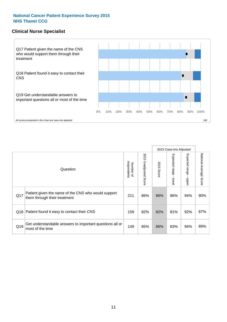#### **Clinical Nurse Specialist**



|     |                                                                                     |                          |                       |               | 2015 Case-mix Adjusted  |                         |                           |
|-----|-------------------------------------------------------------------------------------|--------------------------|-----------------------|---------------|-------------------------|-------------------------|---------------------------|
|     | Question                                                                            | respondents<br>Number of | 2015 Unadjusted Score | 2015<br>Score | Expected range<br>lower | Expected range<br>nbber | National Average<br>Score |
| Q17 | Patient given the name of the CNS who would support<br>them through their treatment | 211                      | 86%                   | 86%           | 86%                     | 94%                     | 90%                       |
| Q18 | Patient found it easy to contact their CNS                                          | 159                      | 82%                   | 82%           | 81%                     | 92%                     | 87%                       |
| Q19 | Get understandable answers to important questions all or<br>most of the time        | 149                      | 85%                   | 86%           | 83%                     | 94%                     | 89%                       |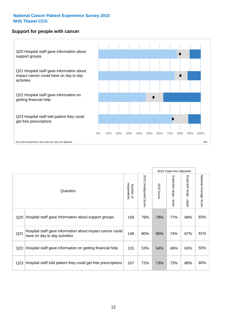#### **Support for people with cancer**



|                 |                                                                                            |                          |                                 |               | 2015 Case-mix Adjusted                    |                                           |                        |
|-----------------|--------------------------------------------------------------------------------------------|--------------------------|---------------------------------|---------------|-------------------------------------------|-------------------------------------------|------------------------|
|                 | Question                                                                                   | respondents<br>Number of | 2015<br><b>Unadjusted Score</b> | 2015<br>Score | Expected range<br>$\blacksquare$<br>lower | Expected range<br>$\blacksquare$<br>nbber | National Average Score |
| Q20             | Hospital staff gave information about support groups                                       | 158                      | 79%                             | 79%           | 77%                                       | 89%                                       | 83%                    |
| Q <sub>21</sub> | Hospital staff gave information about impact cancer could<br>have on day to day activities | 148                      | 80%                             | 80%           | 74%                                       | 87%                                       | 81%                    |
| Q22             | Hospital staff gave information on getting financial help                                  | 131                      | 53%                             | 54%           | 46%                                       | 63%                                       | 55%                    |
| Q <sub>23</sub> | Hospital staff told patient they could get free prescriptions                              | 107                      | 72%                             | 73%           | 73%                                       | 88%                                       | 80%                    |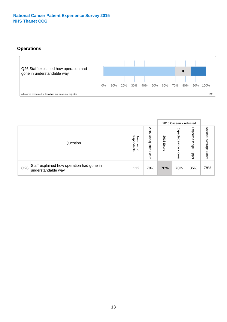### **Operations**



|     |                                                                 |                                         |                             |               | 2015 Case-mix Adjusted     |                           |                              |
|-----|-----------------------------------------------------------------|-----------------------------------------|-----------------------------|---------------|----------------------------|---------------------------|------------------------------|
|     | Question                                                        | respondents<br>Number<br>$\overline{a}$ | 2015<br>Unadjusted<br>Score | 2015<br>Score | Expected<br>range<br>lower | Expected<br>range<br>ddoe | National<br>Average<br>Score |
| Q26 | Staff explained how operation had gone in<br>understandable way | 112                                     | 78%                         | 78%           | 70%                        | 85%                       | 78%                          |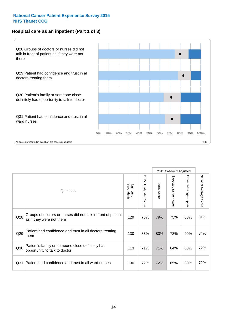#### **Hospital care as an inpatient (Part 1 of 3)**



All scores presented in this chart are case-mix adjusted  $10E$ 

|                 |                                                                                           |                          |                       |                      | 2015 Case-mix Adjusted                    |                                           |                        |
|-----------------|-------------------------------------------------------------------------------------------|--------------------------|-----------------------|----------------------|-------------------------------------------|-------------------------------------------|------------------------|
|                 | Question                                                                                  | respondents<br>Number of | 2015 Unadjusted Score | 2015<br><b>Score</b> | Expected range<br>$\blacksquare$<br>lower | Expected range<br>$\blacksquare$<br>nbber | National Average Score |
| Q28             | Groups of doctors or nurses did not talk in front of patient<br>as if they were not there | 129                      | 78%                   | 79%                  | 75%                                       | 88%                                       | 81%                    |
| Q29             | Patient had confidence and trust in all doctors treating<br>them                          | 130                      | 83%                   | 83%                  | 78%                                       | 90%                                       | 84%                    |
| Q30             | Patient's family or someone close definitely had<br>opportunity to talk to doctor         | 113                      | 71%                   | 71%                  | 64%                                       | 80%                                       | 72%                    |
| Q <sub>31</sub> | Patient had confidence and trust in all ward nurses                                       | 130                      | 72%                   | 72%                  | 65%                                       | 80%                                       | 72%                    |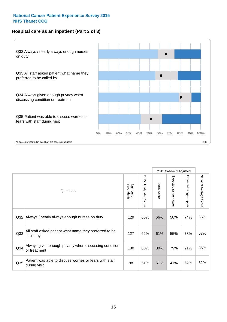#### **Hospital care as an inpatient (Part 2 of 3)**



|                 |                                                                         |                          |                                 |               | 2015 Case-mix Adjusted    |                                           |                        |
|-----------------|-------------------------------------------------------------------------|--------------------------|---------------------------------|---------------|---------------------------|-------------------------------------------|------------------------|
|                 | Question                                                                | respondents<br>Number of | 2015<br><b>Unadjusted Score</b> | 2015<br>Score | Expected range -<br>lower | Expected range<br>$\blacksquare$<br>nbber | National Average Score |
| Q <sub>32</sub> | Always / nearly always enough nurses on duty                            | 129                      | 66%                             | 66%           | 58%                       | 74%                                       | 66%                    |
| Q <sub>33</sub> | All staff asked patient what name they preferred to be<br>called by     | 127                      | 62%                             | 61%           | 55%                       | 78%                                       | 67%                    |
| Q34             | Always given enough privacy when discussing condition<br>or treatment   | 130                      | 80%                             | 80%           | 79%                       | 91%                                       | 85%                    |
| Q35             | Patient was able to discuss worries or fears with staff<br>during visit | 88                       | 51%                             | 51%           | 41%                       | 62%                                       | 52%                    |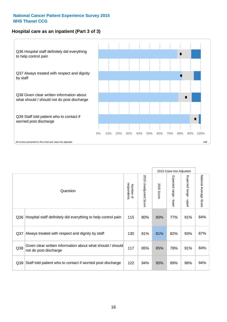#### **Hospital care as an inpatient (Part 3 of 3)**



|                 |                                                                                     |                          |                                 |               | 2015 Case-mix Adjusted  |                                           |                        |
|-----------------|-------------------------------------------------------------------------------------|--------------------------|---------------------------------|---------------|-------------------------|-------------------------------------------|------------------------|
|                 | Question                                                                            | respondents<br>Number of | 2015<br><b>Unadjusted Score</b> | 2015<br>Score | Expected range<br>lower | Expected range<br>$\blacksquare$<br>nbber | National Average Score |
| Q36             | Hospital staff definitely did everything to help control pain                       | 115                      | 80%                             | 80%           | 77%                     | 91%                                       | 84%                    |
| Q <sub>37</sub> | Always treated with respect and dignity by staff                                    | 130                      | 81%                             | 81%           | 82%                     | 93%                                       | 87%                    |
| Q38             | Given clear written information about what should / should<br>not do post discharge | 117                      | 85%                             | 85%           | 78%                     | 91%                                       | 84%                    |
| Q39             | Staff told patient who to contact if worried post discharge                         | 122                      | 94%                             | 95%           | 89%                     | 98%                                       | 94%                    |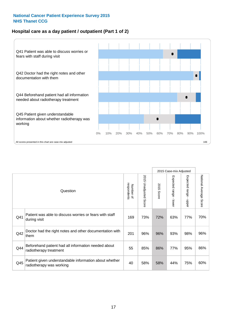#### **Hospital care as a day patient / outpatient (Part 1 of 2)**



|     |                                                                                    |                          |                                 | 2015 Case-mix Adjusted |                                           |                                           |                        |
|-----|------------------------------------------------------------------------------------|--------------------------|---------------------------------|------------------------|-------------------------------------------|-------------------------------------------|------------------------|
|     | Question                                                                           | respondents<br>Number of | 2015<br><b>Unadjusted Score</b> | 2015<br>Score          | Expected range<br>$\blacksquare$<br>lower | Expected range<br>$\blacksquare$<br>nbber | National Average Score |
| Q41 | Patient was able to discuss worries or fears with staff<br>during visit            | 169                      | 73%                             | 72%                    | 63%                                       | 77%                                       | 70%                    |
| Q42 | Doctor had the right notes and other documentation with<br>them                    | 201                      | 96%                             | 96%                    | 93%                                       | 98%                                       | 96%                    |
| Q44 | Beforehand patient had all information needed about<br>radiotherapy treatment      | 55                       | 85%                             | 86%                    | 77%                                       | 95%                                       | 86%                    |
| Q45 | Patient given understandable information about whether<br>radiotherapy was working | 40                       | 58%                             | 58%                    | 44%                                       | 75%                                       | 60%                    |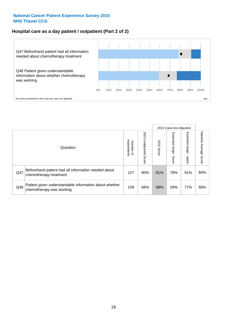#### **Hospital care as a day patient / outpatient (Part 2 of 2)**



|     |                                                                                    |                                       |                             | 2015 Case-mix Adjusted |                              |                         |                           |
|-----|------------------------------------------------------------------------------------|---------------------------------------|-----------------------------|------------------------|------------------------------|-------------------------|---------------------------|
|     | Question                                                                           | respondents<br>Number<br>$\mathbf{Q}$ | 2015<br>Unadjusted<br>Score | 2015<br>Score          | Expected<br>I range<br>lower | Expected range<br>nbber | National Average<br>Score |
| Q47 | Beforehand patient had all information needed about<br>chemotherapy treatment      | 127                                   | 80%                         | 81%                    | 78%                          | 91%                     | 84%                       |
| Q48 | Patient given understandable information about whether<br>chemotherapy was working | 109                                   | 68%                         | 68%                    | 59%                          | 77%                     | 68%                       |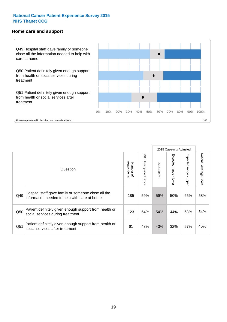#### **Home care and support**



All scores presented in this chart are case-mix adjusted

|                 |                                                                                                     |                          |                          | 2015 Case-mix Adjusted |                         |                         |                        |
|-----------------|-----------------------------------------------------------------------------------------------------|--------------------------|--------------------------|------------------------|-------------------------|-------------------------|------------------------|
|                 | Question                                                                                            | respondents<br>Number of | 2015<br>Unadjusted Score | 2015<br>Score          | Expected range<br>lower | Expected range<br>nbber | National Average Score |
| Q49             | Hospital staff gave family or someone close all the<br>information needed to help with care at home | 185                      | 59%                      | 59%                    | 50%                     | 65%                     | 58%                    |
| Q50             | Patient definitely given enough support from health or<br>social services during treatment          | 123                      | 54%                      | 54%                    | 44%                     | 63%                     | 54%                    |
| Q <sub>51</sub> | Patient definitely given enough support from health or<br>social services after treatment           | 61                       | 43%                      | 43%                    | 32%                     | 57%                     | 45%                    |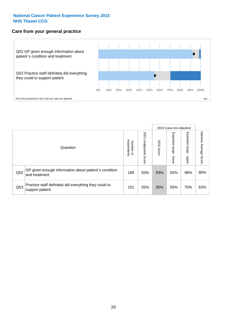#### **Care from your general practice**



|     |                                                                           |                                       |                             |               | 2015 Case-mix Adjusted       |                            |                           |
|-----|---------------------------------------------------------------------------|---------------------------------------|-----------------------------|---------------|------------------------------|----------------------------|---------------------------|
|     | Question                                                                  | respondents<br>Number<br>$\mathbf{Q}$ | 2015<br>Unadjusted<br>Score | 2015<br>Score | Expected<br>l range<br>lower | Expected<br>range<br>dpper | National Average<br>Score |
| Q52 | GP given enough information about patient's condition<br>and treatment    | 189                                   | 93%                         | 93%           | 92%                          | 98%                        | 95%                       |
| Q53 | Practice staff definitely did everything they could to<br>support patient | 152                                   | 55%                         | 55%           | 55%                          | 70%                        | 63%                       |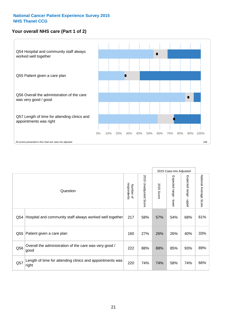#### **Your overall NHS care (Part 1 of 2)**



|     |                                                                    |                          |                                 | 2015 Case-mix Adjusted |                                           |                                           |                        |
|-----|--------------------------------------------------------------------|--------------------------|---------------------------------|------------------------|-------------------------------------------|-------------------------------------------|------------------------|
|     | Question                                                           | respondents<br>Number of | 2015<br><b>Unadjusted Score</b> | 2015<br>Score          | Expected range<br>$\blacksquare$<br>lower | Expected range<br>$\blacksquare$<br>nbber | National Average Score |
| Q54 | Hospital and community staff always worked well together           | 217                      | 58%                             | 57%                    | 54%                                       | 68%                                       | 61%                    |
| Q55 | Patient given a care plan                                          | 160                      | 27%                             | 26%                    | 26%                                       | 40%                                       | 33%                    |
| Q56 | Overall the administration of the care was very good /<br>good     | 222                      | 88%                             | 88%                    | 85%                                       | 93%                                       | 89%                    |
| Q57 | Length of time for attending clinics and appointments was<br>right | 220                      | 74%                             | 74%                    | 58%                                       | 74%                                       | 66%                    |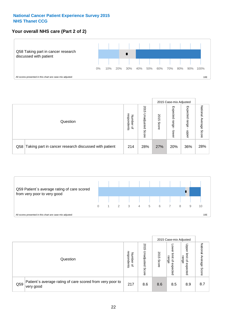#### **Your overall NHS care (Part 2 of 2)**



|     |                                                       |                                   |                             |               | 2015 Case-mix Adjusted     |                            |                        |
|-----|-------------------------------------------------------|-----------------------------------|-----------------------------|---------------|----------------------------|----------------------------|------------------------|
|     | Question                                              | respondents<br>Number<br>$\Omega$ | 2015<br>Unadjusted<br>Score | 2015<br>Score | Expected<br>range<br>lower | Expected<br>range<br>nbber | National Average Score |
| Q58 | Taking part in cancer research discussed with patient | 214                               | 28%                         | 27%           | 20%                        | 36%                        | 28%                    |



|     |                                                                        |                                              |                             |               |                                         | 2015 Case-mix Adjusted                   |                              |
|-----|------------------------------------------------------------------------|----------------------------------------------|-----------------------------|---------------|-----------------------------------------|------------------------------------------|------------------------------|
|     | Question                                                               | respondents<br>Number<br>$\overline{\sigma}$ | 2015<br>Jnadjusted<br>Score | 2015<br>Score | OWer<br>limit<br>range<br>₽<br>expected | Upper<br>limit<br>range<br>õ<br>expected | National<br>Average<br>Score |
| Q59 | Patient's average rating of care scored from very poor to<br>very good | 217                                          | 8.6                         | 8.6           | 8.5                                     | 8.9                                      | 8.7                          |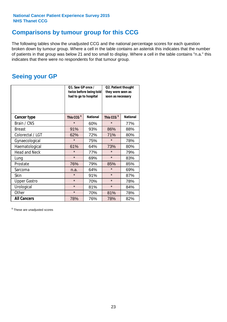### **Comparisons by tumour group for this CCG**

The following tables show the unadjusted CCG and the national percentage scores for each question broken down by tumour group. Where a cell in the table contains an asterisk this indicates that the number of patients in that group was below 21 and too small to display. Where a cell in the table contains "n.a." this indicates that there were no respondents for that tumour group.

### **Seeing your GP**

|                      | Q1. Saw GP once /<br>had to go to hospital | twice before being told | Q2. Patient thought<br>they were seen as<br>soon as necessary |                 |  |
|----------------------|--------------------------------------------|-------------------------|---------------------------------------------------------------|-----------------|--|
| <b>Cancer type</b>   | This CCG <sup>\$</sup>                     | <b>National</b>         | This CCG <sup>\$</sup>                                        | <b>National</b> |  |
| Brain / CNS          | $\star$                                    | 60%                     | $\star$                                                       | 77%             |  |
| <b>Breast</b>        | 91%                                        | 93%                     | 86%                                                           | 88%             |  |
| Colorectal / LGT     | 62%                                        | 72%                     | 71%                                                           | 80%             |  |
| Gynaecological       | $\star$                                    | 75%                     | $\star$                                                       | 78%             |  |
| Haematological       | 61%                                        | 64%                     | 73%                                                           | 80%             |  |
| <b>Head and Neck</b> | $\star$                                    | 77%                     | $\star$                                                       | 79%             |  |
| Lung                 | $\star$                                    | 69%                     | $\star$                                                       | 83%             |  |
| Prostate             | 76%                                        | 79%                     | 85%                                                           | 85%             |  |
| Sarcoma              | n.a.                                       | 64%                     | $\star$                                                       | 69%             |  |
| Skin                 | $\star$                                    | 91%                     | $\star$                                                       | 87%             |  |
| <b>Upper Gastro</b>  | $\star$                                    | 70%                     | $\star$                                                       | 78%             |  |
| Urological           | $\star$                                    | 81%                     | $\star$                                                       | 84%             |  |
| Other                | $\star$                                    | 70%                     | 81%                                                           | 78%             |  |
| <b>All Cancers</b>   | 78%                                        | 76%                     | 78%                                                           | 82%             |  |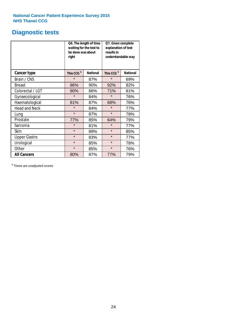### **Diagnostic tests**

|                      | be done was about<br>right | Q6. The length of time<br>waiting for the test to | Q7. Given complete<br>explanation of test<br>results in<br>understandable way |                 |  |
|----------------------|----------------------------|---------------------------------------------------|-------------------------------------------------------------------------------|-----------------|--|
| <b>Cancer type</b>   | This CCG <sup>\$</sup>     | <b>National</b>                                   | This CCG <sup>\$</sup>                                                        | <b>National</b> |  |
| Brain / CNS          | $\star$                    | 87%                                               | $\star$                                                                       | 69%             |  |
| <b>Breast</b>        | 86%                        | 90%                                               | 92%                                                                           | 82%             |  |
| Colorectal / LGT     | 80%                        | 86%                                               | 71%                                                                           | 81%             |  |
| Gynaecological       | $\star$                    | 84%                                               | $\star$                                                                       | 76%             |  |
| Haematological       | 81%                        | 87%                                               | 68%                                                                           | 76%             |  |
| <b>Head and Neck</b> | $\star$                    | 84%                                               | $\star$                                                                       | 77%             |  |
| Lung                 | $\star$                    | 87%                                               | $\star$                                                                       | 78%             |  |
| Prostate             | 77%                        | 85%                                               | 64%                                                                           | 79%             |  |
| Sarcoma              | $\star$                    | 81%                                               | $\star$                                                                       | 77%             |  |
| Skin                 | $\star$                    | 89%                                               | $\star$                                                                       | 85%             |  |
| <b>Upper Gastro</b>  | $\star$                    | 83%                                               | $\star$                                                                       | 77%             |  |
| Urological           | $\star$                    | 85%                                               | $\star$                                                                       | 78%             |  |
| Other                | $\star$<br>85%             |                                                   | $\star$                                                                       | 76%             |  |
| <b>All Cancers</b>   | 80%                        | 87%                                               | 77%                                                                           | 79%             |  |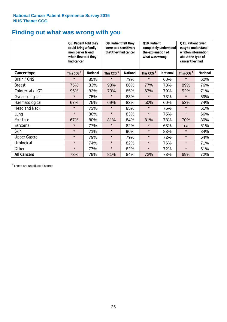### **Finding out what was wrong with you**

|                      | Q8. Patient told they<br>could bring a family<br>member or friend<br>when first told they<br>had cancer |                 | Q9. Patient felt they<br>were told sensitively<br>that they had cancer |                 | Q10. Patient<br>completely understood<br>the explanation of<br>what was wrong |                 | Q11. Patient given<br>easy to understand<br>written information<br>about the type of<br>cancer they had |                 |
|----------------------|---------------------------------------------------------------------------------------------------------|-----------------|------------------------------------------------------------------------|-----------------|-------------------------------------------------------------------------------|-----------------|---------------------------------------------------------------------------------------------------------|-----------------|
| <b>Cancer type</b>   | This CCG <sup>\$</sup>                                                                                  | <b>National</b> | This CCG <sup>\$</sup>                                                 | <b>National</b> | This CCG <sup>\$</sup>                                                        | <b>National</b> | This CCG <sup>\$</sup>                                                                                  | <b>National</b> |
| Brain / CNS          | $\star$                                                                                                 | 85%             | $\star$                                                                | 79%             | $\star$                                                                       | 60%             | $\star$                                                                                                 | 62%             |
| <b>Breast</b>        | 75%                                                                                                     | 83%             | 98%                                                                    | 88%             | 77%                                                                           | 78%             | 89%                                                                                                     | 76%             |
| Colorectal / LGT     | 95%                                                                                                     | 83%             | 73%                                                                    | 85%             | 67%                                                                           | 79%             | 52%                                                                                                     | 71%             |
| Gynaecological       | $\star$                                                                                                 | 75%             | $\star$                                                                | 83%             | $\star$                                                                       | 73%             | $\star$                                                                                                 | 69%             |
| Haematological       | 67%                                                                                                     | 75%             | 69%                                                                    | 83%             | 50%                                                                           | 60%             | 53%                                                                                                     | 74%             |
| <b>Head and Neck</b> | $\star$                                                                                                 | 73%             | $\star$                                                                | 85%             | $\star$                                                                       | 75%             | $\star$                                                                                                 | 61%             |
| Lung                 | $\star$                                                                                                 | 80%             | $\star$                                                                | 83%             | $\star$                                                                       | 75%             | $\star$                                                                                                 | 66%             |
| Prostate             | 67%                                                                                                     | 80%             | 81%                                                                    | 84%             | 81%                                                                           | 78%             | 70%                                                                                                     | 80%             |
| Sarcoma              | $\star$                                                                                                 | 77%             | $\star$                                                                | 82%             | $\star$                                                                       | 63%             | n.a.                                                                                                    | 61%             |
| Skin                 | $\star$                                                                                                 | 71%             | $\star$                                                                | 90%             | $\star$                                                                       | 83%             | $\star$                                                                                                 | 84%             |
| <b>Upper Gastro</b>  | $\star$                                                                                                 | 79%             | $\star$                                                                | 79%             | $\star$                                                                       | 72%             | $\star$                                                                                                 | 64%             |
| Urological           | $\star$                                                                                                 | 74%             | $\star$                                                                | 82%             | $\star$                                                                       | 76%             | $\star$                                                                                                 | 71%             |
| Other                | $\star$                                                                                                 | 77%             | $\star$                                                                | 82%             | $\star$                                                                       | 72%             | $\star$                                                                                                 | 61%             |
| <b>All Cancers</b>   | 73%                                                                                                     | 79%             | 81%                                                                    | 84%             | 72%                                                                           | 73%             | 69%                                                                                                     | 72%             |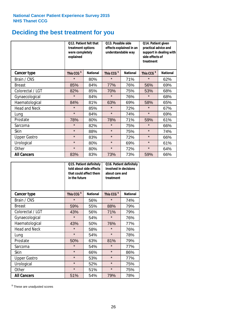# **Deciding the best treatment for you**

|                      | treatment options<br>were completely<br>explained | Q12. Patient felt that | Q13. Possible side<br>understandable way | effects explained in an | Q14. Patient given<br>practical advice and<br>support in dealing with<br>side effects of<br>treatment |                 |  |
|----------------------|---------------------------------------------------|------------------------|------------------------------------------|-------------------------|-------------------------------------------------------------------------------------------------------|-----------------|--|
| <b>Cancer type</b>   | This CCG <sup>\$</sup>                            | <b>National</b>        | This CCG <sup>\$</sup>                   | <b>National</b>         |                                                                                                       | <b>National</b> |  |
| Brain / CNS          | $\star$                                           | 80%                    | $\star$                                  | 71%                     | $\star$                                                                                               | 62%             |  |
| <b>Breast</b>        | 85%                                               | 84%                    | 77%                                      | 76%                     | 56%                                                                                                   | 69%             |  |
| Colorectal / LGT     | 82%                                               | 85%                    | 70%                                      | 75%                     | 53%                                                                                                   | 68%             |  |
| Gynaecological       | $\star$                                           | 84%                    | $\star$                                  | 76%                     | $\star$                                                                                               | 68%             |  |
| Haematological       | 84%                                               | 81%                    | 63%                                      | 69%                     | 58%                                                                                                   | 65%             |  |
| <b>Head and Neck</b> | $\star$                                           | 85%                    | $\star$                                  | 72%                     | $\star$                                                                                               | 67%             |  |
| Lung                 | $\star$                                           | 84%                    | $\star$                                  | 74%                     | $\star$                                                                                               | 69%             |  |
| Prostate             | 78%                                               | 80%                    | 78%                                      | 71%                     | 59%                                                                                                   | 61%             |  |
| Sarcoma              | $\star$                                           | 82%                    | $\star$                                  | 75%                     | $\star$                                                                                               | 66%             |  |
| Skin                 | $\star$                                           | 88%                    | $\star$                                  | 75%                     | $\star$                                                                                               | 74%             |  |
| <b>Upper Gastro</b>  | $\star$                                           | 83%                    | $\star$                                  | 72%                     | $\star$                                                                                               | 66%             |  |
| Urological           | $\star$                                           | 80%                    | $\star$                                  | 69%                     | $\star$                                                                                               | 61%             |  |
| Other                | $\star$                                           | 80%                    | $\star$                                  | 72%                     | $\star$                                                                                               | 64%             |  |
| <b>All Cancers</b>   | 83%                                               | 83%                    | 73%                                      | 73%                     | 59%                                                                                                   | 66%             |  |

|                      | in the future          | Q15. Patient definitely<br>told about side effects<br>that could affect them | Q16. Patient definitely<br>involved in decisions<br>about care and<br>treatment |                 |  |
|----------------------|------------------------|------------------------------------------------------------------------------|---------------------------------------------------------------------------------|-----------------|--|
| <b>Cancer type</b>   | This CCG <sup>\$</sup> | <b>National</b>                                                              | This CCG <sup>\$</sup>                                                          | <b>National</b> |  |
| Brain / CNS          | $\star$                | 56%                                                                          | $\star$                                                                         | 74%             |  |
| <b>Breast</b>        | 59%                    | 55%                                                                          | 88%                                                                             | 79%             |  |
| Colorectal / LGT     | 43%                    | 56%                                                                          | 71%                                                                             | 79%             |  |
| Gynaecological       | $\star$<br>54%         |                                                                              | $\star$                                                                         | 76%             |  |
| Haematological       | 43%                    | 50%                                                                          | 76%                                                                             | 77%             |  |
| <b>Head and Neck</b> | $\star$                | 58%                                                                          | $\star$                                                                         | 76%             |  |
| Lung                 | $\star$                | 54%                                                                          | $\star$                                                                         | 78%             |  |
| Prostate             | 50%                    | 63%                                                                          | 81%                                                                             | 79%             |  |
| Sarcoma              | $\star$                | 54%                                                                          | $\star$                                                                         | 77%             |  |
| Skin                 | $\star$                | 66%                                                                          | $\star$                                                                         | 86%             |  |
| <b>Upper Gastro</b>  | $\star$                | 53%                                                                          | $\star$                                                                         | 77%             |  |
| Urological           | $\star$                | 52%                                                                          | $\star$                                                                         | 75%             |  |
| Other                | $\star$                | 51%                                                                          | $\star$                                                                         | 75%             |  |
| <b>All Cancers</b>   | 51%                    | 54%                                                                          | 79%                                                                             | 78%             |  |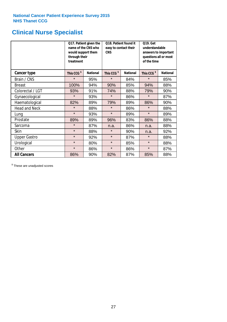# **Clinical Nurse Specialist**

|                      | would support them<br>through their<br>treatment | Q17. Patient given the<br>name of the CNS who | Q18. Patient found it<br>easy to contact their<br><b>CNS</b> |                 | <b>Q19. Get</b><br>understandable<br>answers to important<br>questions all or most<br>of the time |                 |
|----------------------|--------------------------------------------------|-----------------------------------------------|--------------------------------------------------------------|-----------------|---------------------------------------------------------------------------------------------------|-----------------|
| <b>Cancer type</b>   | This CCG <sup>\$</sup>                           | <b>National</b>                               | This CCG <sup>\$</sup>                                       | <b>National</b> | This CCG <sup>\$</sup>                                                                            | <b>National</b> |
| Brain / CNS          | $\star$                                          | 95%                                           | $\star$                                                      | 84%             | $\star$                                                                                           | 85%             |
| <b>Breast</b>        | 100%                                             | 94%                                           | 90%                                                          | 85%             | 94%                                                                                               | 88%             |
| Colorectal / LGT     | 93%                                              | 91%                                           | 74%                                                          | 88%             | 79%                                                                                               | 90%             |
| Gynaecological       | $\star$                                          | 93%                                           | $\star$                                                      | 86%             | $\star$                                                                                           | 87%             |
| Haematological       | 82%                                              | 89%                                           | 79%<br>89%                                                   |                 | 86%                                                                                               | 90%             |
| <b>Head and Neck</b> | $\star$                                          | 88%                                           | $\star$                                                      | 86%             | $\star$                                                                                           | 88%             |
| Lung                 | $\star$                                          | 93%                                           | $\star$                                                      | 89%             | $\star$                                                                                           | 89%             |
| Prostate             | 89%                                              | 89%                                           | 96%                                                          | 83%             | 86%                                                                                               | 88%             |
| Sarcoma              | $\star$                                          | 87%                                           | n.a.                                                         | 86%             | n.a.                                                                                              | 88%             |
| Skin                 | $\star$                                          | 88%                                           | $\star$                                                      | 90%             | n.a.                                                                                              | 92%             |
| <b>Upper Gastro</b>  | $\star$                                          | 92%                                           | $\star$                                                      | 87%             | $\star$                                                                                           | 88%             |
| Urological           | $\star$                                          | 80%                                           | $\star$                                                      | 85%             | $\star$                                                                                           | 88%             |
| Other                | $\star$                                          | 86%                                           | $\star$                                                      | 86%             | $\star$                                                                                           | 87%             |
| <b>All Cancers</b>   | 86%                                              | 90%                                           | 82%                                                          | 87%             | 85%                                                                                               | 88%             |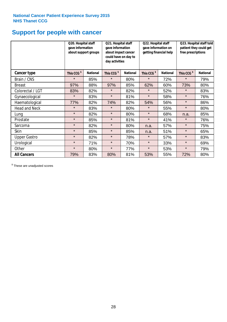# **Support for people with cancer**

|                      | Q20. Hospital staff<br>gave information | about support groups | Q21. Hospital staff<br>gave information<br>about impact cancer<br>could have on day to<br>day activities |                 | Q22. Hospital staff<br>gave information on<br>getting financial help |                 | Q23. Hospital staff told<br>patient they could get<br>free prescriptions |                 |
|----------------------|-----------------------------------------|----------------------|----------------------------------------------------------------------------------------------------------|-----------------|----------------------------------------------------------------------|-----------------|--------------------------------------------------------------------------|-----------------|
| <b>Cancer type</b>   | This CCG <sup>\$</sup>                  | <b>National</b>      | This CCG <sup>\$</sup>                                                                                   | <b>National</b> | This CCG <sup>\$</sup>                                               | <b>National</b> | This CCG <sup>\$</sup>                                                   | <b>National</b> |
| Brain / CNS          | $\star$                                 | 85%                  | $\star$                                                                                                  | 80%             | $\star$                                                              | 72%             | $\star$                                                                  | 79%             |
| <b>Breast</b>        | 97%                                     | 88%                  | 97%                                                                                                      | 85%             | 62%                                                                  | 60%             | 73%                                                                      | 80%             |
| Colorectal / LGT     | 83%                                     | 82%                  | $\star$                                                                                                  | 82%             | $\star$                                                              | 52%             | $\star$                                                                  | 83%             |
| Gynaecological       | $\star$                                 | 83%                  | $\star$                                                                                                  | 81%             | $\star$                                                              | 58%             | $\star$                                                                  | 76%             |
| Haematological       | 77%                                     | 82%                  | 74%                                                                                                      | 82%             | 54%                                                                  | 56%             | $\star$                                                                  | 86%             |
| <b>Head and Neck</b> | $\star$                                 | 83%                  | $\star$                                                                                                  | 80%             | $\star$                                                              | 55%             | $\star$                                                                  | 80%             |
| Lung                 | $\star$                                 | 82%                  | $\star$                                                                                                  | 80%             | $\star$                                                              | 68%             | n.a.                                                                     | 85%             |
| Prostate             | $\star$                                 | 85%                  | $\star$                                                                                                  | 81%             | $\star$                                                              | 41%             | $\star$                                                                  | 76%             |
| Sarcoma              | $\star$                                 | 82%                  | $\star$                                                                                                  | 80%             | n.a.                                                                 | 57%             | $\star$                                                                  | 75%             |
| Skin                 | $\star$                                 | 85%                  | $\star$                                                                                                  | 85%             | n.a.                                                                 | 51%             | $\star$                                                                  | 65%             |
| <b>Upper Gastro</b>  | $\star$                                 | 82%                  | $\star$                                                                                                  | 78%             | $\star$                                                              | 57%             | $\star$                                                                  | 83%             |
| Urological           | $\star$                                 | 71%                  | $\star$                                                                                                  | 70%             | $\star$                                                              | 33%             | $\star$                                                                  | 69%             |
| Other                | $\star$                                 | 80%                  | $\star$                                                                                                  | 77%             | $\star$                                                              | 53%             | $\star$                                                                  | 79%             |
| <b>All Cancers</b>   | 79%                                     | 83%                  | 80%                                                                                                      | 81%             | 53%                                                                  | 55%             | 72%                                                                      | 80%             |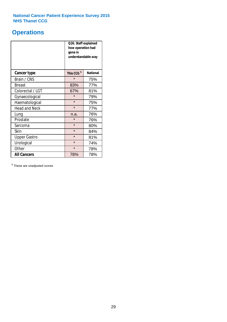### **Operations**

|                      | Q26. Staff explained<br>how operation had<br>gone in<br>understandable way |                 |  |  |  |
|----------------------|----------------------------------------------------------------------------|-----------------|--|--|--|
| <b>Cancer type</b>   | This CCG <sup>\$</sup>                                                     | <b>National</b> |  |  |  |
| Brain / CNS          | $\star$                                                                    | 75%             |  |  |  |
| <b>Breast</b>        | 83%                                                                        | 77%             |  |  |  |
| Colorectal / LGT     | 67%                                                                        | 81%             |  |  |  |
| Gynaecological       | $\star$<br>79%                                                             |                 |  |  |  |
| Haematological       | $\star$<br>75%                                                             |                 |  |  |  |
| <b>Head and Neck</b> | $\star$                                                                    | 77%             |  |  |  |
| Lung                 | n.a.                                                                       | 76%             |  |  |  |
| Prostate             | $\star$                                                                    | 76%             |  |  |  |
| Sarcoma              | $\star$                                                                    | 80%             |  |  |  |
| Skin                 | $\star$                                                                    | 84%             |  |  |  |
| <b>Upper Gastro</b>  | $\star$                                                                    | 81%             |  |  |  |
| Urological           | $\star$                                                                    | 74%             |  |  |  |
| Other                | $\star$<br>78%                                                             |                 |  |  |  |
| <b>All Cancers</b>   | 78%<br>78%                                                                 |                 |  |  |  |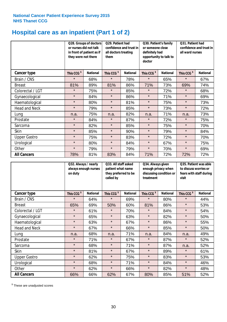# **Hospital care as an inpatient (Part 1 of 2)**

|                      | or nurses did not talk<br>they were not there | Q28. Groups of doctors<br>in front of patient as if | Q29. Patient had<br>confidence and trust in<br>all doctors treating<br>them |                 | Q30. Patient's family<br>or someone close<br>definitely had<br>opportunity to talk to<br>doctor |                 | Q31. Patient had<br>confidence and trust in I<br>all ward nurses |                 |
|----------------------|-----------------------------------------------|-----------------------------------------------------|-----------------------------------------------------------------------------|-----------------|-------------------------------------------------------------------------------------------------|-----------------|------------------------------------------------------------------|-----------------|
| Cancer type          | This CCG <sup>\$</sup>                        | <b>National</b>                                     | This CCG <sup>\$</sup>                                                      | <b>National</b> | This CCG <sup>\$</sup>                                                                          | <b>National</b> | This CCG <sup>\$</sup>                                           | <b>National</b> |
| Brain / CNS          | $\star$                                       | 68%                                                 | $\star$                                                                     | 78%             | $\star$                                                                                         | 65%             | $\star$                                                          | 67%             |
| <b>Breast</b>        | 81%                                           | 89%                                                 | 81%                                                                         | 86%             | 71%                                                                                             | 73%             | 69%                                                              | 74%             |
| Colorectal / LGT     | $\star$                                       | 75%                                                 | $\star$                                                                     | 85%             | $\star$                                                                                         | 72%             | $\star$                                                          | 68%             |
| Gynaecological       | $\star$                                       | 84%                                                 | $\star$                                                                     | 86%             | $\star$                                                                                         | 71%             | $\star$                                                          | 69%             |
| Haematological       | $\star$                                       | 80%                                                 | $\star$                                                                     | 81%             | $\star$                                                                                         | 75%             | $\star$                                                          | 73%             |
| <b>Head and Neck</b> | $\star$                                       | 79%                                                 | $\star$                                                                     | 85%             | $\star$                                                                                         | 73%             | $\star$                                                          | 72%             |
| Lung                 | n.a.                                          | 75%                                                 | n.a.                                                                        | 82%             | n.a.                                                                                            | 71%             | n.a.                                                             | 73%             |
| Prostate             | $\star$                                       | 84%                                                 | $\star$                                                                     | 87%             | $\star$                                                                                         | 72%             | $\star$                                                          | 75%             |
| Sarcoma              | $\star$                                       | 82%                                                 | $\star$                                                                     | 85%             | $\star$                                                                                         | 75%             | $\star$                                                          | 70%             |
| Skin                 | $\star$                                       | 85%                                                 | $\star$                                                                     | 90%             | $\star$                                                                                         | 79%             | $\star$                                                          | 84%             |
| <b>Upper Gastro</b>  | $\star$                                       | 75%                                                 | $\star$                                                                     | 83%             | $\star$                                                                                         | 72%             | $\star$                                                          | 70%             |
| Urological           | $\star$                                       | 80%                                                 | $\star$                                                                     | 84%             | $\star$                                                                                         | 67%             | $\star$                                                          | 75%             |
| Other                | $\star$                                       | 79%                                                 | $\star$                                                                     | 79%             | $\star$                                                                                         | 70%             | $\star$                                                          | 69%             |
| <b>All Cancers</b>   | 78%                                           | 81%                                                 | 83%                                                                         | 84%             | 71%                                                                                             | 72%             | 72%                                                              | 72%             |

|                      | Q32. Always / nearly<br>on duty | always enough nurses | Q33. All staff asked<br>patient what name<br>they preferred to be<br>called by |                 | Q34. Always given<br>enough privacy when<br>discussing condition or<br>treatment |                 | Q35. Patient was able<br>to discuss worries or<br>fears with staff during<br>visit |                 |
|----------------------|---------------------------------|----------------------|--------------------------------------------------------------------------------|-----------------|----------------------------------------------------------------------------------|-----------------|------------------------------------------------------------------------------------|-----------------|
| <b>Cancer type</b>   | This CCG <sup>\$</sup>          | <b>National</b>      | This CCG <sup>\$</sup>                                                         | <b>National</b> | This CCG <sup>\$</sup>                                                           | <b>National</b> | This CCG <sup>\$</sup>                                                             | <b>National</b> |
| Brain / CNS          | $\star$                         | 64%                  | $\star$                                                                        | 69%             | $\star$                                                                          | 80%             | $\star$                                                                            | 44%             |
| <b>Breast</b>        | 65%                             | 69%                  | 50%                                                                            | 60%             | 81%                                                                              | 86%             | $\star$                                                                            | 53%             |
| Colorectal / LGT     | $\star$                         | 61%                  | $\star$                                                                        | 70%             | $\star$                                                                          | 84%             | $\star$                                                                            | 54%             |
| Gynaecological       | $\star$                         | 65%                  | $\star$                                                                        | 63%             | $\star$                                                                          | 82%             | $\star$                                                                            | 50%             |
| Haematological       | $\star$                         | 63%                  | $\star$                                                                        | 67%             | $\star$                                                                          | 86%             | $\star$                                                                            | 55%             |
| <b>Head and Neck</b> | $\star$                         | 67%                  | $\star$                                                                        | 66%             | $\star$                                                                          | 85%             | $\star$                                                                            | 50%             |
| Lung                 | n.a.                            | 68%                  | n.a.                                                                           | 71%             | n.a.                                                                             | 84%             | n.a.                                                                               | 49%             |
| Prostate             | $\star$                         | 71%                  | $\star$                                                                        | 67%             | $\star$                                                                          | 87%             | $\star$                                                                            | 52%             |
| Sarcoma              | $\star$                         | 68%                  | $\star$                                                                        | 71%             | $\star$                                                                          | 87%             | n.a.                                                                               | 52%             |
| Skin                 | $\star$                         | 81%                  | $\star$                                                                        | 67%             | $\star$                                                                          | 89%             | $\star$                                                                            | 61%             |
| <b>Upper Gastro</b>  | $\star$                         | 62%                  | $\star$                                                                        | 75%             | $\star$                                                                          | 83%             | $\star$                                                                            | 53%             |
| Urological           | $\star$                         | 68%                  | $\star$                                                                        | 71%             | $\star$                                                                          | 84%             | $\star$                                                                            | 46%             |
| Other                | $\star$                         | 62%                  | $\star$                                                                        | 66%             | $\star$                                                                          | 82%             | $\star$                                                                            | 48%             |
| <b>All Cancers</b>   | 66%                             | 66%                  | 62%                                                                            | 67%             | 80%                                                                              | 85%             | 51%                                                                                | 52%             |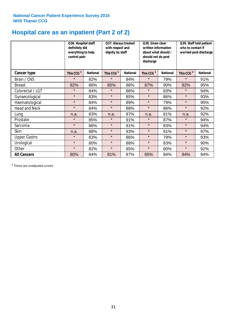# **Hospital care as an inpatient (Part 2 of 2)**

|                      | Q36. Hospital staff<br>definitely did<br>everything to help<br>control pain |                 | Q37. Always treated<br>with respect and<br>dignity by staff |                 | Q38. Given clear<br>written information<br>about what should /<br>should not do post<br>discharge |                 | Q39. Staff told patient<br>who to contact if<br>worried post discharge |                 |  |
|----------------------|-----------------------------------------------------------------------------|-----------------|-------------------------------------------------------------|-----------------|---------------------------------------------------------------------------------------------------|-----------------|------------------------------------------------------------------------|-----------------|--|
| Cancer type          | This CCG <sup>\$</sup>                                                      | <b>National</b> | This CCG <sup>\$</sup>                                      | <b>National</b> | This CCG <sup>\$</sup>                                                                            | <b>National</b> | This CCG <sup>\$</sup>                                                 | <b>National</b> |  |
| Brain / CNS          | $\star$                                                                     | 82%             | $\star$                                                     | 84%             | $\star$                                                                                           | 79%             | $\star$                                                                | 91%             |  |
| <b>Breast</b>        | 82%                                                                         | 86%             | 85%                                                         | 88%             | 87%                                                                                               | 90%             | 92%                                                                    | 95%             |  |
| Colorectal / LGT     | $\star$                                                                     | 84%             | $\star$                                                     | 86%             | $\star$                                                                                           | 83%             | $\star$                                                                | 94%             |  |
| Gynaecological       | $\star$                                                                     | 83%             | $\star$                                                     | 85%             | $\star$                                                                                           | 86%             | $\star$                                                                | 93%             |  |
| Haematological       | $\star$                                                                     | 84%             | $\star$                                                     | 89%             | $\star$                                                                                           | 79%             | $\star$                                                                | 95%             |  |
| <b>Head and Neck</b> | $\star$                                                                     | 84%             | $\star$                                                     | 88%             | $\star$                                                                                           | 86%             | $\star$                                                                | 92%             |  |
| Lung                 | n.a.                                                                        | 83%             | n.a.                                                        | 87%             | n.a.                                                                                              | 81%             | n.a.                                                                   | 92%             |  |
| Prostate             | $\star$                                                                     | 85%             | $\star$                                                     | 91%             | $\star$                                                                                           | 87%             | $\star$                                                                | 94%             |  |
| Sarcoma              | $\star$                                                                     | 86%             | $\star$                                                     | 91%             | $\star$                                                                                           | 83%             | $\star$                                                                | 94%             |  |
| Skin                 | n.a.                                                                        | 88%             | $\star$                                                     | 93%             | $\star$                                                                                           | 91%             | $\star$                                                                | 97%             |  |
| <b>Upper Gastro</b>  | $\star$                                                                     | 83%             | $\star$                                                     | 86%             | $\star$                                                                                           | 79%             | $\star$                                                                | 93%             |  |
| Urological           | $\star$                                                                     | 80%             | $\star$                                                     | 88%             | $\star$                                                                                           | 83%             | $\star$                                                                | 90%             |  |
| Other                | $\star$                                                                     | 82%             | $\star$                                                     | 85%             | $\star$                                                                                           | 80%             | $\star$                                                                | 92%             |  |
| <b>All Cancers</b>   | 80%                                                                         | 84%             | 81%                                                         | 87%             | 85%                                                                                               | 84%             | 94%                                                                    | 94%             |  |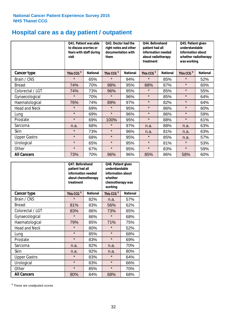# **Hospital care as a day patient / outpatient**

|                      | to discuss worries or<br>visit | Q41. Patient was able<br>fears with staff during | Q42. Doctor had the<br>right notes and other<br>documentation with<br>them |                 | Q44. Beforehand<br>patient had all<br>information needed<br>about radiotherapy<br>treatment |                 | Q45. Patient given<br>understandable<br>information about<br>whether radiotherapy<br>was working |                 |
|----------------------|--------------------------------|--------------------------------------------------|----------------------------------------------------------------------------|-----------------|---------------------------------------------------------------------------------------------|-----------------|--------------------------------------------------------------------------------------------------|-----------------|
| <b>Cancer type</b>   | This CCG <sup>\$</sup>         | <b>National</b>                                  | This CCG <sup>\$</sup>                                                     | <b>National</b> | This CCG <sup>\$</sup>                                                                      | <b>National</b> | This CCG <sup>\$</sup>                                                                           | <b>National</b> |
| Brain / CNS          | $\star$                        | 65%                                              | $\star$                                                                    | 94%             | $\star$                                                                                     | 85%             | $\star$                                                                                          | 52%             |
| <b>Breast</b>        | 74%                            | 70%                                              | 98%                                                                        | 95%             | 88%                                                                                         | 87%             | $\star$                                                                                          | 60%             |
| Colorectal / LGT     | 74%                            | 73%                                              | 96%                                                                        | 95%             | $\star$                                                                                     | 85%             | $\star$                                                                                          | 55%             |
| Gynaecological       | $\star$                        | 70%                                              | $\star$                                                                    | 96%             | $\star$                                                                                     | 85%             | $\star$                                                                                          | 64%             |
| Haematological       | 76%                            | 74%                                              | 89%                                                                        | 97%             | $\star$                                                                                     | 82%             | $\star$                                                                                          | 64%             |
| <b>Head and Neck</b> | $\star$                        | 69%                                              | $\star$                                                                    | 95%             | $\star$                                                                                     | 86%             | $\star$                                                                                          | 60%             |
| Lung                 | $\star$                        | 69%                                              | $\star$                                                                    | 96%             | $\star$                                                                                     | 86%             | $\star$                                                                                          | 59%             |
| Prostate             | $\star$                        | 69%                                              | 100%                                                                       | 95%             | $\star$                                                                                     | 88%             | $\star$                                                                                          | 61%             |
| Sarcoma              | n.a.                           | 68%                                              | $\star$                                                                    | 97%             | n.a.                                                                                        | 88%             | n.a.                                                                                             | 63%             |
| Skin                 | $\star$                        | 73%                                              | $\star$                                                                    | 96%             | n.a.                                                                                        | 81%             | n.a.                                                                                             | 63%             |
| <b>Upper Gastro</b>  | $\star$                        | 68%                                              | $\star$                                                                    | 95%             | $\star$                                                                                     | 85%             | n.a.                                                                                             | 57%             |
| Urological           | $\star$                        | 65%                                              | $\star$                                                                    | 95%             | $\star$                                                                                     | 81%             | $\star$                                                                                          | 53%             |
| Other                | $\star$                        | 67%                                              | $\star$                                                                    | 95%             | $\star$                                                                                     | 83%             | $\star$                                                                                          | 59%             |
| <b>All Cancers</b>   | 73%                            | 70%                                              | 96%                                                                        | 96%             | 85%                                                                                         | 86%             | 58%                                                                                              | 60%             |

|                      | O47. Beforehand<br>patient had all<br>information needed<br>about chemotherapy<br>treatment |                 | Q48. Patient given<br>understandable<br>information about<br>whether<br>chemotherapy was<br>working |                 |  |
|----------------------|---------------------------------------------------------------------------------------------|-----------------|-----------------------------------------------------------------------------------------------------|-----------------|--|
| <b>Cancer type</b>   | This CCG <sup>\$</sup>                                                                      | <b>National</b> | This CCG <sup>\$</sup>                                                                              | <b>National</b> |  |
| Brain / CNS          | $\star$                                                                                     | 82%             | n.a.                                                                                                | 57%             |  |
| <b>Breast</b>        | 81%                                                                                         | 83%             | 56%                                                                                                 | 62%             |  |
| Colorectal / LGT     | 83%                                                                                         | 86%             | 73%                                                                                                 | 65%             |  |
| Gynaecological       | $\star$<br>86%                                                                              |                 | $\star$                                                                                             | 68%             |  |
| Haematological       | 79%                                                                                         | 85%             |                                                                                                     | 75%             |  |
| <b>Head and Neck</b> | $\star$                                                                                     | 80%             | $\star$                                                                                             | 52%             |  |
| Lung                 | $\star$                                                                                     | 85%             | $\star$                                                                                             | 68%             |  |
| Prostate             | $\star$                                                                                     | 83%             | $\star$                                                                                             | 69%             |  |
| Sarcoma              | n.a.                                                                                        | 82%             | n.a.                                                                                                | 70%             |  |
| Skin                 | n.a.                                                                                        | 92%             | n.a.                                                                                                | 80%             |  |
| <b>Upper Gastro</b>  | $\star$                                                                                     | 83%             | $\star$                                                                                             | 64%             |  |
| Urological           | $\star$                                                                                     | 83%             | $\star$                                                                                             | 66%             |  |
| Other                | $\star$                                                                                     | 85%             | $\star$                                                                                             | 70%             |  |
| <b>All Cancers</b>   | 80%                                                                                         | 84%             | 68%                                                                                                 | 68%             |  |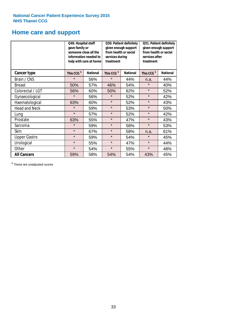### **Home care and support**

|                      | Q49. Hospital staff<br>gave family or | someone close all the<br>information needed to<br>help with care at home | Q50. Patient definitely<br>given enough support<br>from health or social<br>services during<br>treatment |                 | Q51. Patient definitely<br>given enough support<br>from health or social<br>services after<br>treatment |                 |
|----------------------|---------------------------------------|--------------------------------------------------------------------------|----------------------------------------------------------------------------------------------------------|-----------------|---------------------------------------------------------------------------------------------------------|-----------------|
| <b>Cancer type</b>   | This CCG <sup>\$</sup>                | <b>National</b><br>This CCG <sup>\$</sup>                                |                                                                                                          | <b>National</b> | This CCG <sup>\$</sup>                                                                                  | <b>National</b> |
| Brain / CNS          | $\star$                               | 56%                                                                      | $\star$                                                                                                  | 44%             | n.a.                                                                                                    | 44%             |
| <b>Breast</b>        | 50%                                   | 57%                                                                      | 46%                                                                                                      | 54%             | $\star$                                                                                                 | 40%             |
| Colorectal / LGT     | 56%                                   | 60%                                                                      | 50%                                                                                                      | 62%             | $\star$                                                                                                 | 52%             |
| Gynaecological       | $\star$                               | 56%                                                                      | $\star$                                                                                                  | 52%             | $\star$                                                                                                 | 42%             |
| Haematological       | 63%                                   | 60%                                                                      | $\star$                                                                                                  | 52%             | $\star$                                                                                                 | 43%             |
| <b>Head and Neck</b> | $\star$                               | 59%                                                                      | $\star$                                                                                                  | 53%             | $\star$                                                                                                 | 50%             |
| Lung                 | $\star$                               | 57%                                                                      | $\star$                                                                                                  | 52%             | $\star$                                                                                                 | 42%             |
| Prostate             | 63%                                   | 55%                                                                      | $\star$                                                                                                  | 47%             | $\star$                                                                                                 | 43%             |
| Sarcoma              | $\star$                               | 59%                                                                      | $\star$                                                                                                  | 58%             | $\star$                                                                                                 | 53%             |
| Skin                 | $\star$                               | 67%                                                                      | $\star$                                                                                                  | 58%             | n.a.                                                                                                    | 61%             |
| <b>Upper Gastro</b>  | $\star$                               | 59%                                                                      | $\star$                                                                                                  | 54%             | $\star$                                                                                                 | 45%             |
| Urological           | $\star$                               | 55%                                                                      | $\star$                                                                                                  | 47%             | $\star$                                                                                                 | 44%             |
| Other                | $\star$                               | 54%                                                                      | $\star$                                                                                                  | 55%             | $\star$                                                                                                 | 48%             |
| <b>All Cancers</b>   | 59%                                   | 58%                                                                      | 54%                                                                                                      | 54%             | 43%                                                                                                     | 45%             |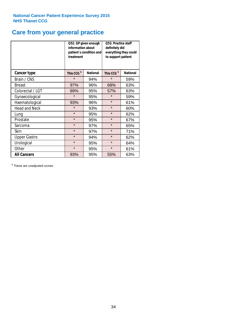# **Care from your general practice**

|                      | information about<br>treatment | Q52. GP given enough<br>patient's condition and | <b>O53. Practice staff</b><br>definitely did<br>everything they could<br>to support patient |                 |  |
|----------------------|--------------------------------|-------------------------------------------------|---------------------------------------------------------------------------------------------|-----------------|--|
| <b>Cancer type</b>   | This CCG <sup>\$</sup>         | <b>National</b>                                 | This CCG <sup>\$</sup>                                                                      | <b>National</b> |  |
| Brain / CNS          | $\star$                        | 94%                                             | $\star$                                                                                     | 59%             |  |
| <b>Breast</b>        | 97%                            | 96%                                             | 68%                                                                                         | 63%             |  |
| Colorectal / LGT     | 89%                            | 95%                                             | 57%                                                                                         | 63%             |  |
| Gynaecological       | $\star$<br>95%                 |                                                 | $\star$                                                                                     | 59%             |  |
| Haematological       | 93%                            | 96%                                             | $\star$                                                                                     | 61%             |  |
| <b>Head and Neck</b> | $\star$                        | 93%                                             | $\star$                                                                                     | 60%             |  |
| Lung                 | $\star$                        | 95%                                             | $\star$                                                                                     | 62%             |  |
| Prostate             | $\star$                        | 95%                                             | $\star$                                                                                     | 67%             |  |
| Sarcoma              | $\star$                        | 97%                                             | $\star$                                                                                     | 65%             |  |
| Skin                 | $\star$                        | 97%                                             | $\star$                                                                                     | 71%             |  |
| <b>Upper Gastro</b>  | $\star$                        | 94%                                             | $\star$                                                                                     | 62%             |  |
| Urological           | $\star$                        | 95%                                             | $\star$                                                                                     | 64%             |  |
| Other                | $\star$                        | 95%                                             | $\star$                                                                                     | 61%             |  |
| <b>All Cancers</b>   | 93%                            | 95%                                             | 55%                                                                                         | 63%             |  |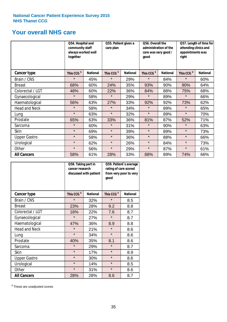### **Your overall NHS care**

|                      | Q54. Hospital and<br>community staff<br>always worked well<br>together |                 | Q55. Patient given a<br>care plan |                 | Q56. Overall the<br>administration of the<br>care was very good /<br>qood |                 | Q57. Length of time for<br>attending clinics and<br>appointments was<br>right |                 |
|----------------------|------------------------------------------------------------------------|-----------------|-----------------------------------|-----------------|---------------------------------------------------------------------------|-----------------|-------------------------------------------------------------------------------|-----------------|
| <b>Cancer type</b>   | This CCG <sup>\$</sup>                                                 | <b>National</b> | This CCG <sup>\$</sup>            | <b>National</b> | This CCG <sup>\$</sup>                                                    | <b>National</b> | This CCG <sup>\$</sup>                                                        | <b>National</b> |
| Brain / CNS          | $\star$                                                                | 45%             | $\star$                           | 29%             | $\star$                                                                   | 84%             | $\star$                                                                       | 60%             |
| <b>Breast</b>        | 68%                                                                    | 60%             | 24%                               | 35%             | 93%                                                                       | 90%             | 90%                                                                           | 64%             |
| Colorectal / LGT     | 48%                                                                    | 60%             | 22%                               | 36%             | 84%                                                                       | 88%             | 75%                                                                           | 68%             |
| Gynaecological       | $\star$                                                                | 58%             | $\star$                           | 29%             | $\star$                                                                   | 89%             | $\star$                                                                       | 66%             |
| Haematological       | 56%                                                                    | 63%             | 27%                               | 33%             | 92%                                                                       | 92%             | 73%                                                                           | 62%             |
| <b>Head and Neck</b> | $\star$                                                                | 58%             | $\star$                           | 34%             | $\star$                                                                   | 89%             | $\star$                                                                       | 65%             |
| Lung                 | $\star$                                                                | 63%             | $\star$                           | 32%             | $\star$                                                                   | 89%             | $\star$                                                                       | 70%             |
| Prostate             | 65%                                                                    | 63%             | 33%                               | 36%             | 81%                                                                       | 87%             | 52%                                                                           | 71%             |
| Sarcoma              | $\star$                                                                | 60%             | $\star$                           | 31%             | $\star$                                                                   | 90%             | $\star$                                                                       | 63%             |
| Skin                 | $\star$                                                                | 69%             | $\star$                           | 39%             | $\star$                                                                   | 89%             | $\star$                                                                       | 73%             |
| <b>Upper Gastro</b>  | $\star$                                                                | 58%             | $\star$                           | 36%             | $\star$                                                                   | 88%             | $\star$                                                                       | 66%             |
| Urological           | $\star$                                                                | 62%             | $\star$                           | 26%             | $\star$                                                                   | 84%             | $\star$                                                                       | 73%             |
| Other                | $\star$                                                                | 56%             | $\star$                           | 29%             | $\star$                                                                   | 87%             | $\star$                                                                       | 61%             |
| <b>All Cancers</b>   | 58%                                                                    | 61%             | 28%                               | 33%             | 88%                                                                       | 89%             | 74%                                                                           | 66%             |

|                      | Q58. Taking part in<br>cancer research | discussed with patient | Q59. Patient's average<br>rating of care scored<br>from very poor to very<br>good |                 |  |
|----------------------|----------------------------------------|------------------------|-----------------------------------------------------------------------------------|-----------------|--|
| <b>Cancer type</b>   | This CCG <sup>\$</sup>                 | <b>National</b>        | This CCG <sup>\$</sup>                                                            | <b>National</b> |  |
| Brain / CNS          | $\star$                                | 32%                    | $\star$                                                                           | 8.5             |  |
| <b>Breast</b>        | 23%                                    | 28%                    | 9.2                                                                               | 8.8             |  |
| Colorectal / LGT     | 16%                                    | 22%                    | 7.6                                                                               | 8.7             |  |
| Gynaecological       | $\star$<br>27%                         |                        | $\star$                                                                           | 8.7             |  |
| Haematological       | 47%                                    | 36%                    | 8.9                                                                               | 8.8             |  |
| <b>Head and Neck</b> | $\star$                                | 21%                    | $\star$                                                                           | 8.6             |  |
| Lung                 | $\star$                                | 34%                    | $\star$                                                                           | 8.6             |  |
| Prostate             | 40%                                    | 35%                    | 8.1                                                                               | 8.6             |  |
| Sarcoma              | $\star$                                | 29%                    | $\star$                                                                           | 8.7             |  |
| <b>Skin</b>          | $\star$                                | 17%                    | $\star$                                                                           | 8.9             |  |
| <b>Upper Gastro</b>  | $\star$                                | 30%                    | $\star$                                                                           | 8.6             |  |
| Urological           | $\star$                                | 14%                    | $\star$                                                                           | 8.5             |  |
| Other                | $\star$                                | 31%                    | $\star$                                                                           | 8.6             |  |
| <b>All Cancers</b>   | 28%                                    | 28%                    | 8.6                                                                               | 8.7             |  |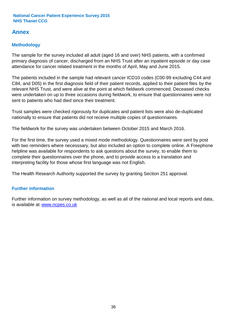### **Annex**

### **Methodology**

The sample for the survey included all adult (aged 16 and over) NHS patients, with a confirmed primary diagnosis of cancer, discharged from an NHS Trust after an inpatient episode or day case attendance for cancer related treatment in the months of April, May and June 2015.

The patients included in the sample had relevant cancer ICD10 codes (C00-99 excluding C44 and C84, and D05) in the first diagnosis field of their patient records, applied to their patient files by the relevant NHS Trust, and were alive at the point at which fieldwork commenced. Deceased checks were undertaken on up to three occasions during fieldwork, to ensure that questionnaires were not sent to patients who had died since their treatment.

Trust samples were checked rigorously for duplicates and patient lists were also de-duplicated nationally to ensure that patients did not receive multiple copies of questionnaires.

The fieldwork for the survey was undertaken between October 2015 and March 2016.

For the first time, the survey used a mixed mode methodology. Questionnaires were sent by post with two reminders where necesssary, but also included an option to complete online. A Freephone helpline was available for respondents to ask questions about the survey, to enable them to complete their questionnaires over the phone, and to provide access to a translation and interpreting facility for those whose first language was not English.

The Health Research Authority supported the survey by granting Section 251 approval.

### **Further information**

Further information on survey methodology, as well as all of the national and local reports and data, is available at www.ncpes.co.uk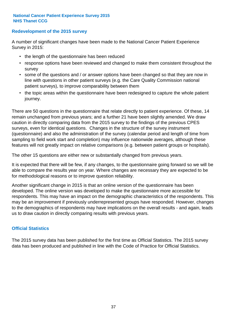#### **Redevelopment of the 2015 survey**

A number of significant changes have been made to the National Cancer Patient Experience Survey in 2015:

- the length of the questionnaire has been reduced
- response options have been reviewed and changed to make them consistent throughout the survey
- some of the questions and / or answer options have been changed so that they are now in line with questions in other patient surveys (e.g. the Care Quality Commission national patient surveys), to improve comparability between them
- the topic areas within the questionnaire have been redesigned to capture the whole patient journey.

There are 50 questions in the questionnaire that relate directly to patient experience. Of these, 14 remain unchanged from previous years; and a further 21 have been slightly amended. We draw caution in directly comparing data from the 2015 survey to the findings of the previous CPES surveys, even for identical questions. Changes in the structure of the survey instrument (questionnaire) and also the administration of the survey (calendar period and length of time from sampling to field work start and completion) may influence nationwide averages, although these features will not greatly impact on relative comparisons (e.g. between patient groups or hospitals).

The other 15 questions are either new or substantially changed from previous years.

It is expected that there will be few, if any changes, to the questionnaire going forward so we will be able to compare the results year on year. Where changes are necessary they are expected to be for methodological reasons or to improve question reliability.

Another significant change in 2015 is that an online version of the questionnaire has been developed. The online version was developed to make the questionnaire more accessible for respondents. This may have an impact on the demographic characteristics of the respondents. This may be an improvement if previously underrepresented groups have responded. However, changes to the demographics of respondents may have implications on the overall results - and again, leads us to draw caution in directly comparing results with previous years.

#### **Official Statistics**

The 2015 survey data has been published for the first time as Official Statistics. The 2015 survey data has been produced and published in line with the Code of Practice for Official Statistics.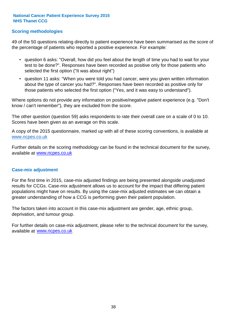#### **Scoring methodologies**

49 of the 50 questions relating directly to patient experience have been summarised as the score of the percentage of patients who reported a positive experience. For example:

- question 6 asks: "Overall, how did you feel about the length of time you had to wait for your test to be done?". Responses have been recorded as positive only for those patients who selected the first option ("It was about right")
- question 11 asks: "When you were told you had cancer, were you given written information about the type of cancer you had?". Responses have been recorded as positive only for those patients who selected the first option ("Yes, and it was easy to understand").

Where options do not provide any information on positive/negative patient experience (e.g. "Don't know / can't remember"), they are excluded from the score.

The other question (question 59) asks respondents to rate their overall care on a scale of 0 to 10. Scores have been given as an average on this scale.

A copy of the 2015 questionnaire, marked up with all of these scoring conventions, is available at www.ncpes.co.uk

Further details on the scoring methodology can be found in the technical document for the survey, available at <u>www.ncpes.co.uk</u>

#### **Case-mix adjustment**

For the first time in 2015, case-mix adjusted findings are being presented alongside unadjusted results for CCGs. Case-mix adjustment allows us to account for the impact that differing patient populations might have on results. By using the case-mix adjusted estimates we can obtain a greater understanding of how a CCG is performing given their patient population.

The factors taken into account in this case-mix adjustment are gender, age, ethnic group, deprivation, and tumour group.

For further details on case-mix adjustment, please refer to the technical document for the survey, available at www.ncpes.co.uk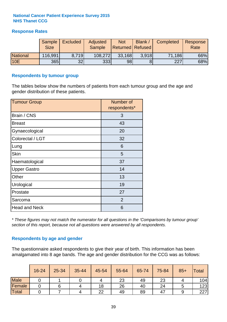#### **Response Rates**

|                 | Sample      | <b>Excluded</b> | Adjusted      | <b>Not</b>              | Blank / | Completed | Response |
|-----------------|-------------|-----------------|---------------|-------------------------|---------|-----------|----------|
|                 | <b>Size</b> |                 | <b>Sample</b> | <b>Returned Refused</b> |         |           | Rate     |
| <b>National</b> | 116,991     | 8.719           | 108,272       | 33,168                  | 3.918   | 71,186    | 66%      |
| <b>10E</b>      | <b>365</b>  | 32              | 333           | 98                      |         | 227       | 68%      |

#### **Respondents by tumour group**

The tables below show the numbers of patients from each tumour group and the age and gender distribution of these patients.

| <b>Tumour Group</b>  | Number of<br>respondents* |  |  |
|----------------------|---------------------------|--|--|
| Brain / CNS          | 3                         |  |  |
| <b>Breast</b>        | 43                        |  |  |
| Gynaecological       | 20                        |  |  |
| Colorectal / LGT     | 32                        |  |  |
| Lung                 | 6                         |  |  |
| <b>Skin</b>          | 5                         |  |  |
| Haematological       | 37                        |  |  |
| <b>Upper Gastro</b>  | 14                        |  |  |
| Other                | 13                        |  |  |
| Urological           | 19                        |  |  |
| Prostate             | 27                        |  |  |
| Sarcoma              | 2                         |  |  |
| <b>Head and Neck</b> | 6                         |  |  |

*\* These figures may not match the numerator for all questions in the 'Comparisons by tumour group' section of this report, because not all questions were answered by all respondents.*

#### **Respondents by age and gender**

The questionnaire asked respondents to give their year of birth. This information has been amalgamated into 8 age bands. The age and gender distribution for the CCG was as follows:

|             | 16-24 | 25-34 | 35-44 | 45-54 | 55-64 | 65-74 | 75-84 | $85+$ | <b>Total</b> |
|-------------|-------|-------|-------|-------|-------|-------|-------|-------|--------------|
| <b>Male</b> |       |       |       |       | 23    | 49    | 23    |       | 104          |
| Female      |       |       |       | 18    | 26    | 40    | 24    |       | 123          |
| Total       |       |       |       | 22    | 49    | 89    | 47    |       | 227          |